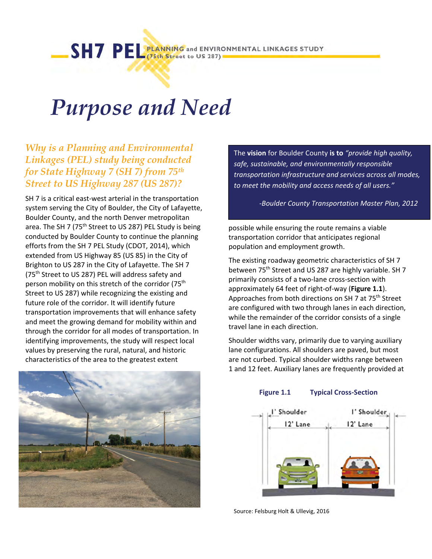# *Purpose and Need*

# *Why is a Planning and Environmental Linkages (PEL) study being conducted for State Highway 7 (SH 7) from 75th Street to US Highway 287 (US 287)?*

SH 7 is a critical east-west arterial in the transportation system serving the City of Boulder, the City of Lafayette, Boulder County, and the north Denver metropolitan area. The SH 7 (75<sup>th</sup> Street to US 287) PEL Study is being conducted by Boulder County to continue the planning efforts from the SH 7 PEL Study (CDOT, 2014), which extended from US Highway 85 (US 85) in the City of Brighton to US 287 in the City of Lafayette. The SH 7 (75th Street to US 287) PEL will address safety and person mobility on this stretch of the corridor (75<sup>th</sup>) Street to US 287) while recognizing the existing and future role of the corridor. It will identify future transportation improvements that will enhance safety and meet the growing demand for mobility within and through the corridor for all modes of transportation. In identifying improvements, the study will respect local values by preserving the rural, natural, and historic characteristics of the area to the greatest extent



The **vision** for Boulder County **is to** *"provide high quality, safe, sustainable, and environmentally responsible transportation infrastructure and services across all modes, to meet the mobility and access needs of all users."*

‐*Boulder County Transportation Master Plan, 2012*

possible while ensuring the route remains a viable transportation corridor that anticipates regional population and employment growth.

The existing roadway geometric characteristics of SH 7 between 75<sup>th</sup> Street and US 287 are highly variable. SH 7 primarily consists of a two‐lane cross‐section with approximately 64 feet of right‐of‐way (**Figure 1.1**). Approaches from both directions on SH 7 at 75<sup>th</sup> Street are configured with two through lanes in each direction, while the remainder of the corridor consists of a single travel lane in each direction.

Shoulder widths vary, primarily due to varying auxiliary lane configurations. All shoulders are paved, but most are not curbed. Typical shoulder widths range between 1 and 12 feet. Auxiliary lanes are frequently provided at

#### **Figure 1.1 Typical Cross‐Section**



Source: Felsburg Holt & Ullevig, 2016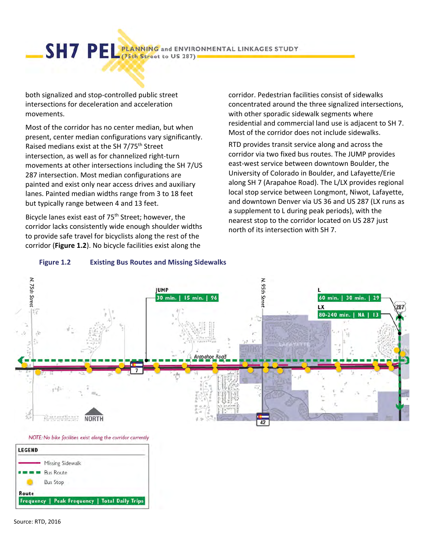SHT PEL PLANNING and ENVIRONMENTAL LINKAGES STUDY

both signalized and stop‐controlled public street intersections for deceleration and acceleration movements.

Most of the corridor has no center median, but when present, center median configurations vary significantly. Raised medians exist at the SH 7/75th Street intersection, as well as for channelized right‐turn movements at other intersections including the SH 7/US 287 intersection. Most median configurations are painted and exist only near access drives and auxiliary lanes. Painted median widths range from 3 to 18 feet but typically range between 4 and 13 feet.

Bicycle lanes exist east of 75<sup>th</sup> Street; however, the corridor lacks consistently wide enough shoulder widths to provide safe travel for bicyclists along the rest of the corridor (**Figure 1.2**). No bicycle facilities exist along the

**Figure 1.2 Existing Bus Routes and Missing Sidewalks**

corridor. Pedestrian facilities consist of sidewalks concentrated around the three signalized intersections, with other sporadic sidewalk segments where residential and commercial land use is adjacent to SH 7. Most of the corridor does not include sidewalks.

RTD provides transit service along and across the corridor via two fixed bus routes. The JUMP provides east‐west service between downtown Boulder, the University of Colorado in Boulder, and Lafayette/Erie along SH 7 (Arapahoe Road). The L/LX provides regional local stop service between Longmont, Niwot, Lafayette, and downtown Denver via US 36 and US 287 (LX runs as a supplement to L during peak periods), with the nearest stop to the corridor located on US 287 just north of its intersection with SH 7.



NOTE: No bike facilities exist along the corridor currently

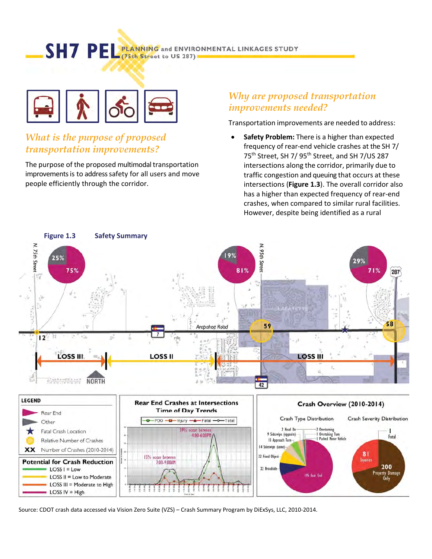SHT PEL PLANNING and ENVIRONMENTAL LINKAGES STUDY



# *What is the purpose of proposed transportation improvements?*

LOSS II = Low to Moderate LOSS III = Moderate to High

**LOSS IV = High** 

The purpose of the proposed multimodal transportation improvements is to address safety for all users and move people efficiently through the corridor.

### *Why are proposed transportation improvements needed?*

Transportation improvements are needed to address:

 **Safety Problem:** There is a higher than expected frequency of rear‐end vehicle crashes at the SH 7/ 75<sup>th</sup> Street, SH 7/ 95<sup>th</sup> Street, and SH 7/US 287 intersections along the corridor, primarily due to traffic congestion and queuing that occurs at these intersections (**Figure 1.3**). The overall corridor also has a higher than expected frequency of rear‐end crashes, when compared to similar rural facilities. However, despite being identified as a rural

196 Rear Enc



 $5533$ 

Source: CDOT crash data accessed via Vision Zero Suite (VZS) – Crash Summary Program by DiExSys, LLC, 2010‐2014.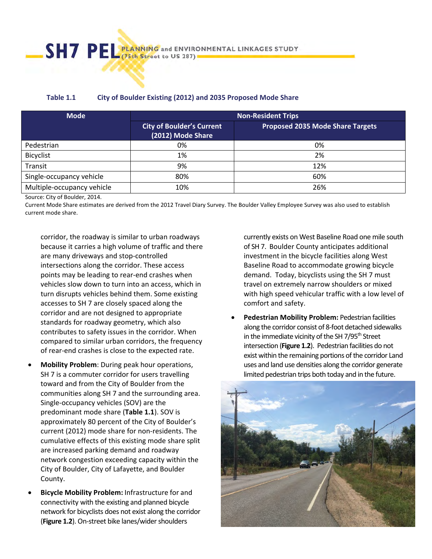| Table 1.1 | <b>City of Boulder Existing (2012) and 2035 Proposed Mode Share</b> |
|-----------|---------------------------------------------------------------------|
|-----------|---------------------------------------------------------------------|

| <b>Mode</b>                | <b>Non-Resident Trips</b>                             |                                         |  |
|----------------------------|-------------------------------------------------------|-----------------------------------------|--|
|                            | <b>City of Boulder's Current</b><br>(2012) Mode Share | <b>Proposed 2035 Mode Share Targets</b> |  |
| Pedestrian                 | 0%                                                    | 0%                                      |  |
| Bicyclist                  | 1%                                                    | 2%                                      |  |
| Transit                    | 9%                                                    | 12%                                     |  |
| Single-occupancy vehicle   | 80%                                                   | 60%                                     |  |
| Multiple-occupancy vehicle | 10%                                                   | 26%                                     |  |

Source: City of Boulder, 2014.

Current Mode Share estimates are derived from the 2012 Travel Diary Survey. The Boulder Valley Employee Survey was also used to establish current mode share.

corridor, the roadway is similar to urban roadways because it carries a high volume of traffic and there are many driveways and stop‐controlled intersections along the corridor. These access points may be leading to rear‐end crashes when vehicles slow down to turn into an access, which in turn disrupts vehicles behind them. Some existing accesses to SH 7 are closely spaced along the corridor and are not designed to appropriate standards for roadway geometry, which also contributes to safety issues in the corridor. When compared to similar urban corridors, the frequency of rear‐end crashes is close to the expected rate.

- **Mobility Problem**: During peak hour operations, SH 7 is a commuter corridor for users travelling toward and from the City of Boulder from the communities along SH 7 and the surrounding area. Single‐occupancy vehicles (SOV) are the predominant mode share (**Table 1.1**). SOV is approximately 80 percent of the City of Boulder's current (2012) mode share for non‐residents. The cumulative effects of this existing mode share split are increased parking demand and roadway network congestion exceeding capacity within the City of Boulder, City of Lafayette, and Boulder County.
- **Bicycle Mobility Problem:** Infrastructure for and connectivity with the existing and planned bicycle network for bicyclists does not exist along the corridor (**Figure 1.2**). On‐street bike lanes/widershoulders

currently exists on West Baseline Road one mile south of SH 7. Boulder County anticipates additional investment in the bicycle facilities along West Baseline Road to accommodate growing bicycle demand. Today, bicyclists using the SH 7 must travel on extremely narrow shoulders or mixed with high speed vehicular traffic with a low level of comfort and safety.

 **Pedestrian Mobility Problem:** Pedestrian facilities along the corridor consist of 8‐foot detached sidewalks in the immediate vicinity of the SH  $7/95<sup>th</sup>$  Street intersection (**Figure 1.2**). Pedestrian facilities do not exist within the remaining portions of the corridor Land uses and land use densities along the corridor generate limited pedestrian trips both today and in the future.

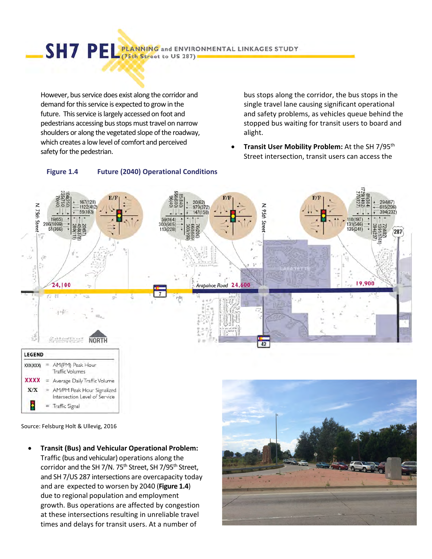SHT PEL PLANNING and ENVIRONMENTAL LINKAGES STUDY

However, bus service does exist along the corridor and demand for this service is expected to grow in the future. This service is largely accessed on foot and pedestrians accessing bus stops must travel on narrow shoulders or along the vegetated slope of the roadway, which creates a low level of comfort and perceived safety for the pedestrian.

**Figure 1.4 Future (2040) Operational Conditions**

bus stops along the corridor, the bus stops in the single travel lane causing significant operational and safety problems, as vehicles queue behind the stopped bus waiting for transit users to board and alight.

 **Transit User Mobility Problem:** At the SH 7/95th Street intersection, transit users can access the



Source: Felsburg Holt & Ullevig, 2016

 **Transit (Bus) and Vehicular Operational Problem:** Traffic (bus and vehicular) operations along the corridor and the SH 7/N. 75<sup>th</sup> Street, SH 7/95<sup>th</sup> Street, and SH 7/US 287 intersections are overcapacity today and are expected to worsen by 2040 (**Figure 1.4**) due to regional population and employment growth. Bus operations are affected by congestion at these intersections resulting in unreliable travel times and delays for transit users. At a number of